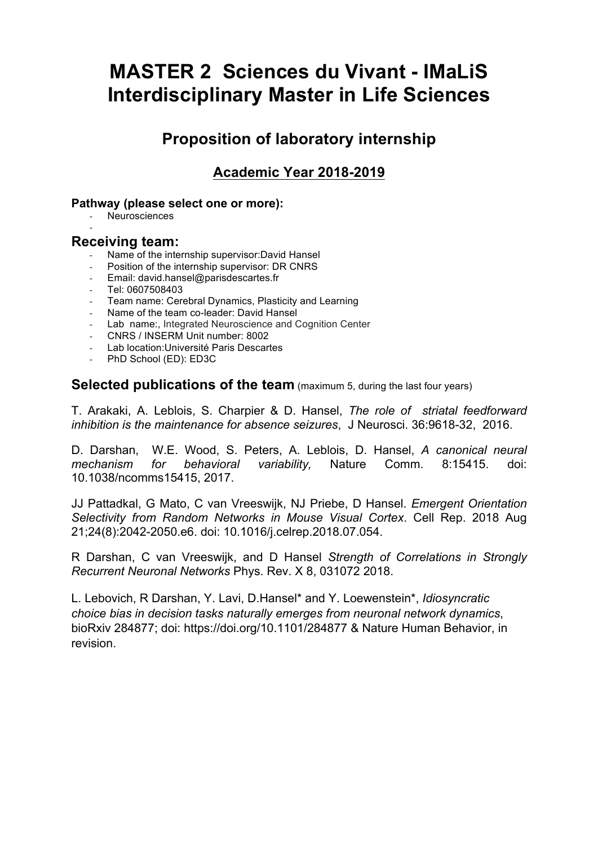# **MASTER 2 Sciences du Vivant - IMaLiS Interdisciplinary Master in Life Sciences**

# **Proposition of laboratory internship**

# **Academic Year 2018-2019**

#### **Pathway (please select one or more):**

- Neurosciences

### **Receiving team:**

-

- Name of the internship supervisor:David Hansel
- Position of the internship supervisor: DR CNRS
- Email: david.hansel@parisdescartes.fr
- Tel: 0607508403
- Team name: Cerebral Dynamics, Plasticity and Learning
- Name of the team co-leader: David Hansel
- Lab name:, Integrated Neuroscience and Cognition Center
- CNRS / INSERM Unit number: 8002
- Lab location:Université Paris Descartes
- PhD School (ED): ED3C

**Selected publications of the team** (maximum 5, during the last four years)

T. Arakaki, A. Leblois, S. Charpier & D. Hansel, *The role of striatal feedforward inhibition is the maintenance for absence seizures*, J Neurosci. 36:9618-32, 2016.

D. Darshan, W.E. Wood, S. Peters, A. Leblois, D. Hansel, *A canonical neural mechanism for behavioral variability,* Nature Comm. 8:15415. doi: 10.1038/ncomms15415, 2017.

JJ Pattadkal, G Mato, C van Vreeswijk, NJ Priebe, D Hansel. *Emergent Orientation Selectivity from Random Networks in Mouse Visual Cortex*. Cell Rep. 2018 Aug 21;24(8):2042-2050.e6. doi: 10.1016/j.celrep.2018.07.054.

R Darshan, C van Vreeswijk, and D Hansel *Strength of Correlations in Strongly Recurrent Neuronal Networks* Phys. Rev. X 8, 031072 2018.

L. Lebovich, R Darshan, Y. Lavi, D.Hansel\* and Y. Loewenstein\*, *Idiosyncratic choice bias in decision tasks naturally emerges from neuronal network dynamics*, bioRxiv 284877; doi: https://doi.org/10.1101/284877 & Nature Human Behavior, in revision.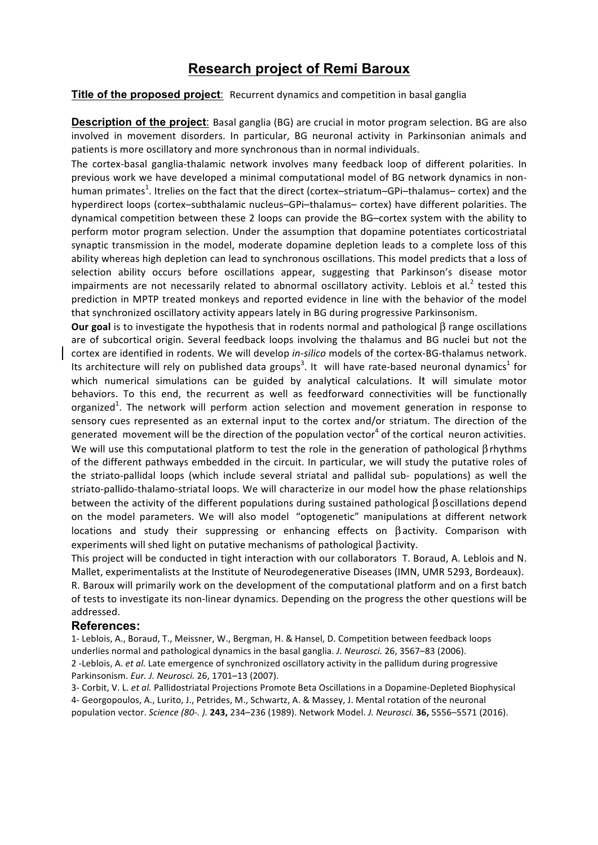## **Research project of Remi Baroux**

**Title of the proposed project**: Recurrent dynamics and competition in basal ganglia

**Description of the project**: Basal ganglia (BG) are crucial in motor program selection. BG are also involved in movement disorders. In particular, BG neuronal activity in Parkinsonian animals and patients is more oscillatory and more synchronous than in normal individuals.

The cortex-basal ganglia-thalamic network involves many feedback loop of different polarities. In previous work we have developed a minimal computational model of BG network dynamics in nonhuman primates<sup>1</sup>. Itrelies on the fact that the direct (cortex–striatum–GPi–thalamus– cortex) and the hyperdirect loops (cortex–subthalamic nucleus–GPi–thalamus– cortex) have different polarities. The dynamical competition between these 2 loops can provide the BG–cortex system with the ability to perform motor program selection. Under the assumption that dopamine potentiates corticostriatal synaptic transmission in the model, moderate dopamine depletion leads to a complete loss of this ability whereas high depletion can lead to synchronous oscillations. This model predicts that a loss of selection ability occurs before oscillations appear, suggesting that Parkinson's disease motor impairments are not necessarily related to abnormal oscillatory activity. Leblois et al.<sup>2</sup> tested this prediction in MPTP treated monkeys and reported evidence in line with the behavior of the model that synchronized oscillatory activity appears lately in BG during progressive Parkinsonism.

**Our goal** is to investigate the hypothesis that in rodents normal and pathological β range oscillations are of subcortical origin. Several feedback loops involving the thalamus and BG nuclei but not the cortex are identified in rodents. We will develop *in-silico* models of the cortex-BG-thalamus network. Its architecture will rely on published data groups<sup>3</sup>. It will have rate-based neuronal dynamics<sup>1</sup> for which numerical simulations can be guided by analytical calculations. It will simulate motor behaviors. To this end, the recurrent as well as feedforward connectivities will be functionally organized<sup>1</sup>. The network will perform action selection and movement generation in response to sensory cues represented as an external input to the cortex and/or striatum. The direction of the generated movement will be the direction of the population vector<sup>4</sup> of the cortical neuron activities. We will use this computational platform to test the role in the generation of pathological βrhythms of the different pathways embedded in the circuit. In particular, we will study the putative roles of the striato-pallidal loops (which include several striatal and pallidal sub- populations) as well the striato-pallido-thalamo-striatal loops. We will characterize in our model how the phase relationships between the activity of the different populations during sustained pathological βoscillations depend on the model parameters. We will also model "optogenetic" manipulations at different network locations and study their suppressing or enhancing effects on  $\beta$  activity. Comparison with experiments will shed light on putative mechanisms of pathological βactivity.

This project will be conducted in tight interaction with our collaborators T. Boraud, A. Leblois and N. Mallet, experimentalists at the Institute of Neurodegenerative Diseases (IMN, UMR 5293, Bordeaux). R. Baroux will primarily work on the development of the computational platform and on a first batch of tests to investigate its non-linear dynamics. Depending on the progress the other questions will be

addressed. 

#### **References:**

1- Leblois, A., Boraud, T., Meissner, W., Bergman, H. & Hansel, D. Competition between feedback loops underlies normal and pathological dynamics in the basal ganglia. *J. Neurosci.* 26, 3567-83 (2006). 2 -Leblois, A. *et al.* Late emergence of synchronized oscillatory activity in the pallidum during progressive Parkinsonism. *Eur. J. Neurosci.* 26, 1701–13 (2007).

3- Corbit, V. L. et al. Pallidostriatal Projections Promote Beta Oscillations in a Dopamine-Depleted Biophysical 4- Georgopoulos, A., Lurito, J., Petrides, M., Schwartz, A. & Massey, J. Mental rotation of the neuronal population vector. *Science (80-. ).* **243,** 234–236 (1989). Network Model. *J. Neurosci.* **36,** 5556–5571 (2016).